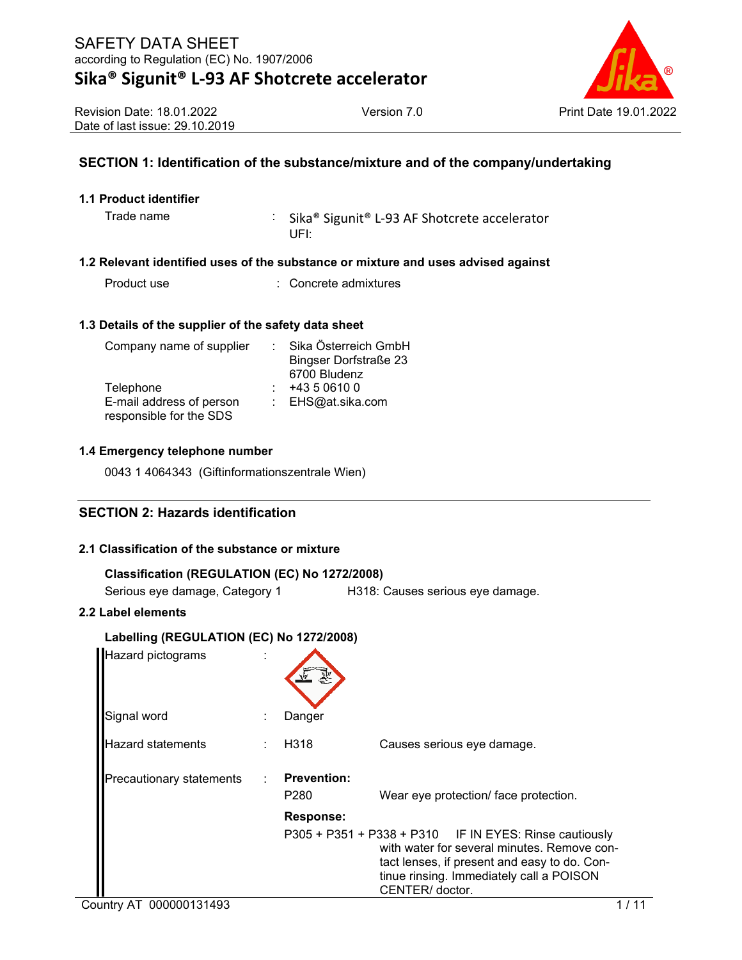

Revision Date: 18.01.2022 Date of last issue: 29.10.2019

### **SECTION 1: Identification of the substance/mixture and of the company/undertaking**

### **1.1 Product identifier**

Trade name : Sika® Sigunit® L-93 AF Shotcrete accelerator UFI:

### **1.2 Relevant identified uses of the substance or mixture and uses advised against**

Product use : Concrete admixtures

### **1.3 Details of the supplier of the safety data sheet**

| Sika Österreich GmbH         |
|------------------------------|
| <b>Bingser Dorfstraße 23</b> |
| 6700 Bludenz                 |
| +43 5 0610 0                 |
| : EHS@at.sika.com            |
|                              |
|                              |

### **1.4 Emergency telephone number**

0043 1 4064343 (Giftinformationszentrale Wien)

### **SECTION 2: Hazards identification**

### **2.1 Classification of the substance or mixture**

| Classification (REGULATION (EC) No 1272/2008) |                                  |
|-----------------------------------------------|----------------------------------|
| Serious eye damage, Category 1                | H318: Causes serious eye damage. |
| 2.2 Label elements                            |                                  |
| Labelling (REGULATION (EC) No 1272/2008)      |                                  |
| Hazard pictograms                             |                                  |

| Signal word              | Danger                                 |                                                                                                                                                                                                                      |  |
|--------------------------|----------------------------------------|----------------------------------------------------------------------------------------------------------------------------------------------------------------------------------------------------------------------|--|
| <b>Hazard statements</b> | H <sub>318</sub>                       | Causes serious eye damage.                                                                                                                                                                                           |  |
| Precautionary statements | <b>Prevention:</b><br>P <sub>280</sub> | Wear eye protection/ face protection.                                                                                                                                                                                |  |
|                          | <b>Response:</b>                       | P305 + P351 + P338 + P310 IF IN EYES: Rinse cautiously<br>with water for several minutes. Remove con-<br>tact lenses, if present and easy to do. Con-<br>tinue rinsing. Immediately call a POISON<br>CENTER/ doctor. |  |
| Country AT 000000131493  |                                        |                                                                                                                                                                                                                      |  |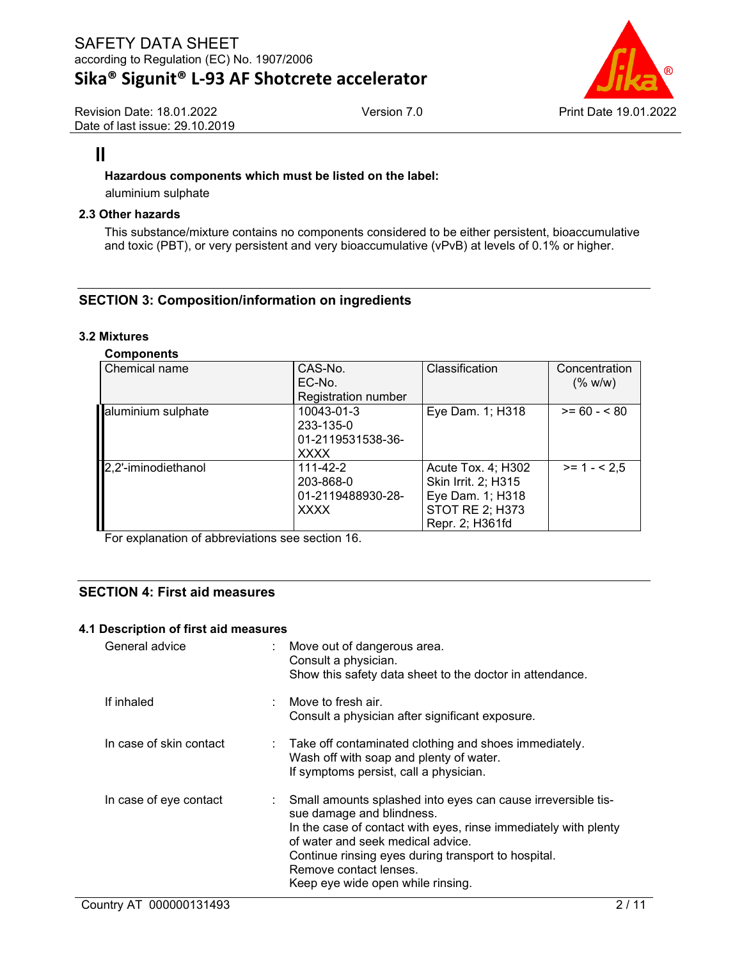Revision Date: 18.01.2022 Date of last issue: 29.10.2019



## $\mathbf{\Pi}$

### **Hazardous components which must be listed on the label:**

aluminium sulphate

### **2.3 Other hazards**

This substance/mixture contains no components considered to be either persistent, bioaccumulative and toxic (PBT), or very persistent and very bioaccumulative (vPvB) at levels of 0.1% or higher.

### **SECTION 3: Composition/information on ingredients**

### **3.2 Mixtures**

### **Components**

| Chemical name       | CAS-No.                    | Classification         | Concentration |
|---------------------|----------------------------|------------------------|---------------|
|                     | EC-No.                     |                        | (% w/w)       |
|                     | <b>Registration number</b> |                        |               |
| aluminium sulphate  | 10043-01-3                 | Eye Dam. 1; H318       | $>= 60 - 80$  |
|                     | 233-135-0                  |                        |               |
|                     | 01-2119531538-36-          |                        |               |
|                     | <b>XXXX</b>                |                        |               |
| 2,2'-iminodiethanol | $111 - 42 - 2$             | Acute Tox. 4; H302     | $>= 1 - 2.5$  |
|                     | 203-868-0                  | Skin Irrit. 2; H315    |               |
|                     | 01-2119488930-28-          | Eye Dam. 1; H318       |               |
|                     | <b>XXXX</b>                | <b>STOT RE 2; H373</b> |               |
|                     |                            | Repr. 2; H361fd        |               |

For explanation of abbreviations see section 16.

### **SECTION 4: First aid measures**

### **4.1 Description of first aid measures**

| General advice          | : Move out of dangerous area.<br>Consult a physician.<br>Show this safety data sheet to the doctor in attendance.                                                                                                                                                                                                         |
|-------------------------|---------------------------------------------------------------------------------------------------------------------------------------------------------------------------------------------------------------------------------------------------------------------------------------------------------------------------|
| If inhaled              | : Move to fresh air.<br>Consult a physician after significant exposure.                                                                                                                                                                                                                                                   |
| In case of skin contact | : Take off contaminated clothing and shoes immediately.<br>Wash off with soap and plenty of water.<br>If symptoms persist, call a physician.                                                                                                                                                                              |
| In case of eye contact  | : Small amounts splashed into eyes can cause irreversible tis-<br>sue damage and blindness.<br>In the case of contact with eyes, rinse immediately with plenty<br>of water and seek medical advice.<br>Continue rinsing eyes during transport to hospital.<br>Remove contact lenses.<br>Keep eye wide open while rinsing. |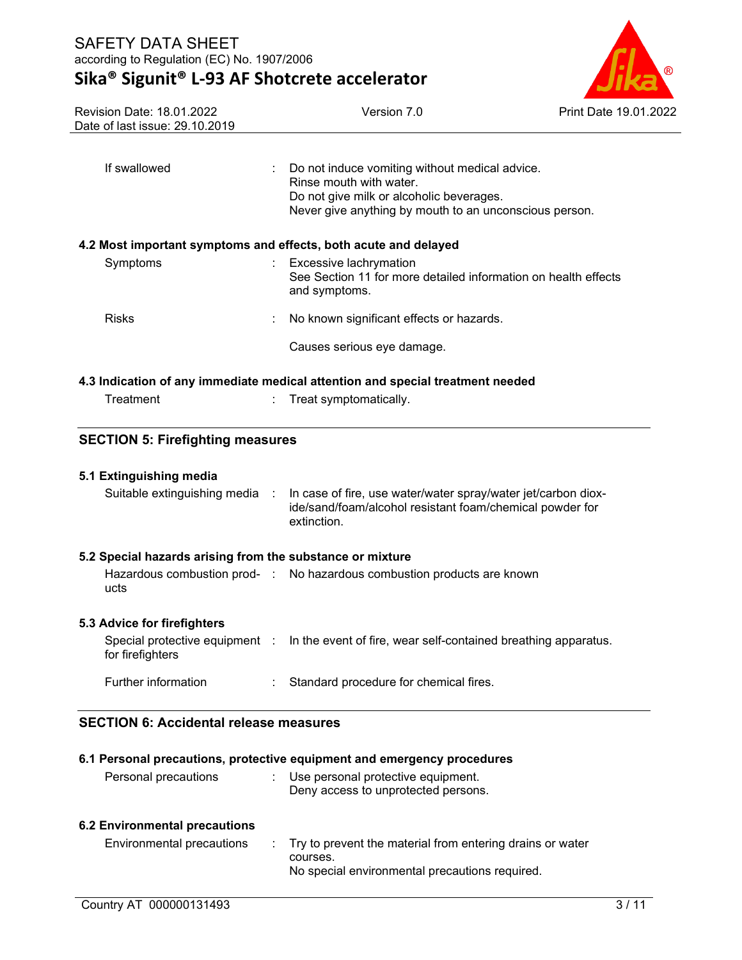# **Sika® Sigunit® L-93 AF Shotcrete accelerator**



| Revision Date: 18.01.2022<br>Date of last issue: 29.10.2019     |               | Version 7.0                                                                                                                                                                       | Print Date 19.01.2022 |
|-----------------------------------------------------------------|---------------|-----------------------------------------------------------------------------------------------------------------------------------------------------------------------------------|-----------------------|
| If swallowed                                                    |               | : Do not induce vomiting without medical advice.<br>Rinse mouth with water.<br>Do not give milk or alcoholic beverages.<br>Never give anything by mouth to an unconscious person. |                       |
| 4.2 Most important symptoms and effects, both acute and delayed |               |                                                                                                                                                                                   |                       |
| Symptoms                                                        | and symptoms. | Excessive lachrymation<br>See Section 11 for more detailed information on health effects                                                                                          |                       |
| <b>Risks</b>                                                    |               | No known significant effects or hazards.                                                                                                                                          |                       |
|                                                                 |               | Causes serious eye damage.                                                                                                                                                        |                       |
| Treatment<br><b>SECTION 5: Firefighting measures</b>            |               | Treat symptomatically.                                                                                                                                                            |                       |
| 5.1 Extinguishing media                                         |               |                                                                                                                                                                                   |                       |
| Suitable extinguishing media :                                  | extinction.   | In case of fire, use water/water spray/water jet/carbon diox-<br>ide/sand/foam/alcohol resistant foam/chemical powder for                                                         |                       |
| 5.2 Special hazards arising from the substance or mixture       |               |                                                                                                                                                                                   |                       |
| ucts                                                            |               | Hazardous combustion prod- : No hazardous combustion products are known                                                                                                           |                       |
| 5.3 Advice for firefighters                                     |               |                                                                                                                                                                                   |                       |
| for firefighters                                                |               | Special protective equipment : In the event of fire, wear self-contained breathing apparatus.                                                                                     |                       |
| Further information                                             |               | Standard procedure for chemical fires.                                                                                                                                            |                       |

## **SECTION 6: Accidental release measures**

|                               | 6.1 Personal precautions, protective equipment and emergency procedures                                                   |
|-------------------------------|---------------------------------------------------------------------------------------------------------------------------|
| Personal precautions          | Use personal protective equipment.<br>÷.<br>Deny access to unprotected persons.                                           |
| 6.2 Environmental precautions |                                                                                                                           |
| Environmental precautions     | : Try to prevent the material from entering drains or water<br>courses.<br>No special environmental precautions required. |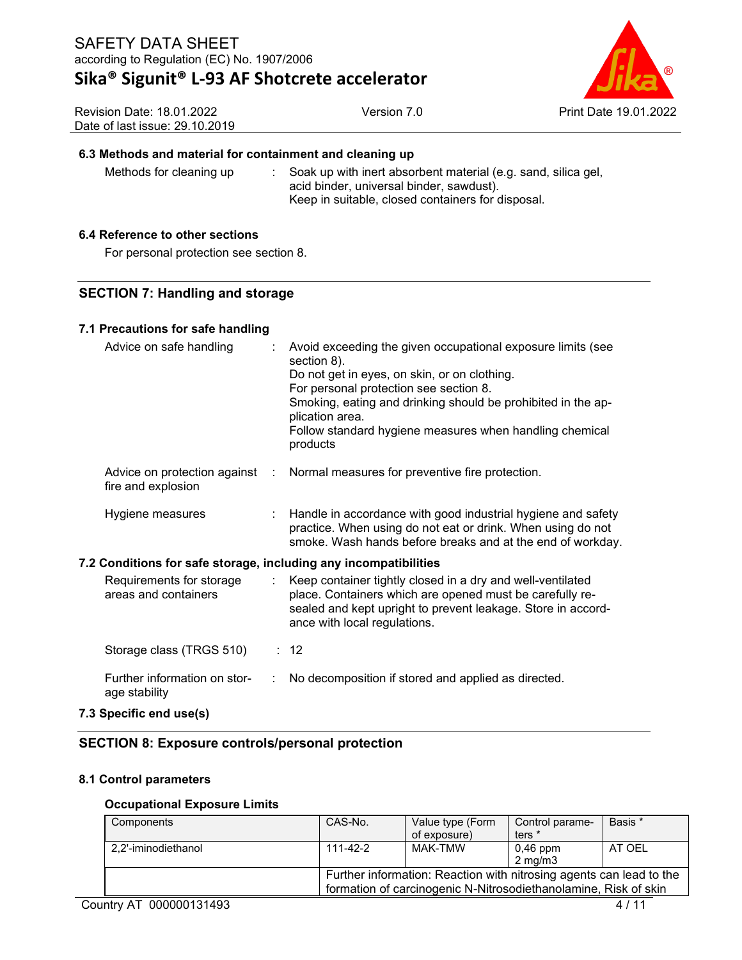

| Revision Date: 18.01.2022       | V٤ |
|---------------------------------|----|
| Date of last issue: 29.10.2019_ |    |

### **6.3 Methods and material for containment and cleaning up**

Methods for cleaning up : Soak up with inert absorbent material (e.g. sand, silica gel, acid binder, universal binder, sawdust). Keep in suitable, closed containers for disposal.

### **6.4 Reference to other sections**

For personal protection see section 8.

### **SECTION 7: Handling and storage**

### **7.1 Precautions for safe handling**

| Advice on safe handling                                          |   | Avoid exceeding the given occupational exposure limits (see<br>section 8).<br>Do not get in eyes, on skin, or on clothing.<br>For personal protection see section 8.<br>Smoking, eating and drinking should be prohibited in the ap-<br>plication area.<br>Follow standard hygiene measures when handling chemical<br>products |
|------------------------------------------------------------------|---|--------------------------------------------------------------------------------------------------------------------------------------------------------------------------------------------------------------------------------------------------------------------------------------------------------------------------------|
| fire and explosion                                               |   | Advice on protection against : Normal measures for preventive fire protection.                                                                                                                                                                                                                                                 |
| Hygiene measures                                                 |   | Handle in accordance with good industrial hygiene and safety<br>practice. When using do not eat or drink. When using do not<br>smoke. Wash hands before breaks and at the end of workday.                                                                                                                                      |
| 7.2 Conditions for safe storage, including any incompatibilities |   |                                                                                                                                                                                                                                                                                                                                |
| Requirements for storage<br>areas and containers                 |   | : Keep container tightly closed in a dry and well-ventilated<br>place. Containers which are opened must be carefully re-<br>sealed and kept upright to prevent leakage. Store in accord-<br>ance with local regulations.                                                                                                       |
| Storage class (TRGS 510)                                         |   | $\therefore$ 12                                                                                                                                                                                                                                                                                                                |
| Further information on stor-<br>age stability                    | ÷ | No decomposition if stored and applied as directed.                                                                                                                                                                                                                                                                            |

### **7.3 Specific end use(s)**

### **SECTION 8: Exposure controls/personal protection**

### **8.1 Control parameters**

### **Occupational Exposure Limits**

| Components          | CAS-No.  | Value type (Form                                                    | Control parame-    | Basis * |
|---------------------|----------|---------------------------------------------------------------------|--------------------|---------|
|                     |          | of exposure)                                                        | ters <sup>*</sup>  |         |
| 2.2'-iminodiethanol | 111-42-2 | MAK-TMW                                                             | $0,46$ ppm         | AT OEL  |
|                     |          |                                                                     | $2 \text{ ma/m}$ 3 |         |
|                     |          | Further information: Reaction with nitrosing agents can lead to the |                    |         |
|                     |          | formation of carcinogenic N-Nitrosodiethanolamine, Risk of skin     |                    |         |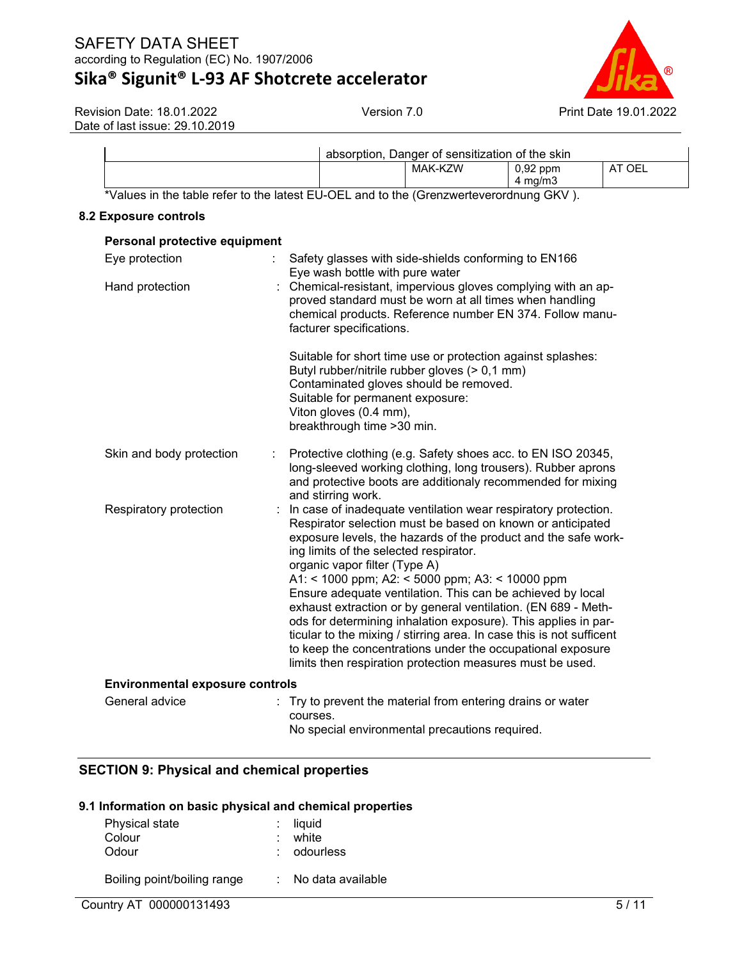# **Sika® Sigunit® L-93 AF Shotcrete accelerator**



Revision Date: 18.01.2022 Date of last issue: 29.10.2019

|                                                                                        |  | absorption, Danger of sensitization of the skin |                    |        |
|----------------------------------------------------------------------------------------|--|-------------------------------------------------|--------------------|--------|
|                                                                                        |  | MAK-KZW                                         | $0.92$ ppm         | AT OEL |
|                                                                                        |  |                                                 | $4 \text{ ma/m}$ 3 |        |
| *Values in the table refer to the latest EU-OEL and to the (Grenzwerteverordnung GKV). |  |                                                 |                    |        |

### **8.2 Exposure controls**

| Personal protective equipment          |                                                                                                                                                                                                                                                                                                                                                                                            |  |  |  |
|----------------------------------------|--------------------------------------------------------------------------------------------------------------------------------------------------------------------------------------------------------------------------------------------------------------------------------------------------------------------------------------------------------------------------------------------|--|--|--|
| Eye protection<br>÷.                   | Safety glasses with side-shields conforming to EN166<br>Eye wash bottle with pure water                                                                                                                                                                                                                                                                                                    |  |  |  |
| Hand protection                        | : Chemical-resistant, impervious gloves complying with an ap-<br>proved standard must be worn at all times when handling<br>chemical products. Reference number EN 374. Follow manu-<br>facturer specifications.                                                                                                                                                                           |  |  |  |
|                                        | Suitable for short time use or protection against splashes:<br>Butyl rubber/nitrile rubber gloves (> 0,1 mm)<br>Contaminated gloves should be removed.<br>Suitable for permanent exposure:<br>Viton gloves (0.4 mm),<br>breakthrough time > 30 min.                                                                                                                                        |  |  |  |
| Skin and body protection               | Protective clothing (e.g. Safety shoes acc. to EN ISO 20345,<br>long-sleeved working clothing, long trousers). Rubber aprons<br>and protective boots are additionaly recommended for mixing<br>and stirring work.                                                                                                                                                                          |  |  |  |
| Respiratory protection<br>÷            | In case of inadequate ventilation wear respiratory protection.<br>Respirator selection must be based on known or anticipated<br>exposure levels, the hazards of the product and the safe work-<br>ing limits of the selected respirator.<br>organic vapor filter (Type A)<br>A1: < 1000 ppm; A2: < 5000 ppm; A3: < 10000 ppm<br>Ensure adequate ventilation. This can be achieved by local |  |  |  |
|                                        | exhaust extraction or by general ventilation. (EN 689 - Meth-<br>ods for determining inhalation exposure). This applies in par-<br>ticular to the mixing / stirring area. In case this is not sufficent<br>to keep the concentrations under the occupational exposure<br>limits then respiration protection measures must be used.                                                         |  |  |  |
| <b>Environmental exposure controls</b> |                                                                                                                                                                                                                                                                                                                                                                                            |  |  |  |
| General advice                         | Try to prevent the material from entering drains or water<br>courses.<br>No special environmental precautions required.                                                                                                                                                                                                                                                                    |  |  |  |

### **SECTION 9: Physical and chemical properties**

### **9.1 Information on basic physical and chemical properties**

| Physical state              | $:$ liquid        |
|-----------------------------|-------------------|
| Colour                      | white             |
| Odour                       | odourless         |
| Boiling point/boiling range | No data available |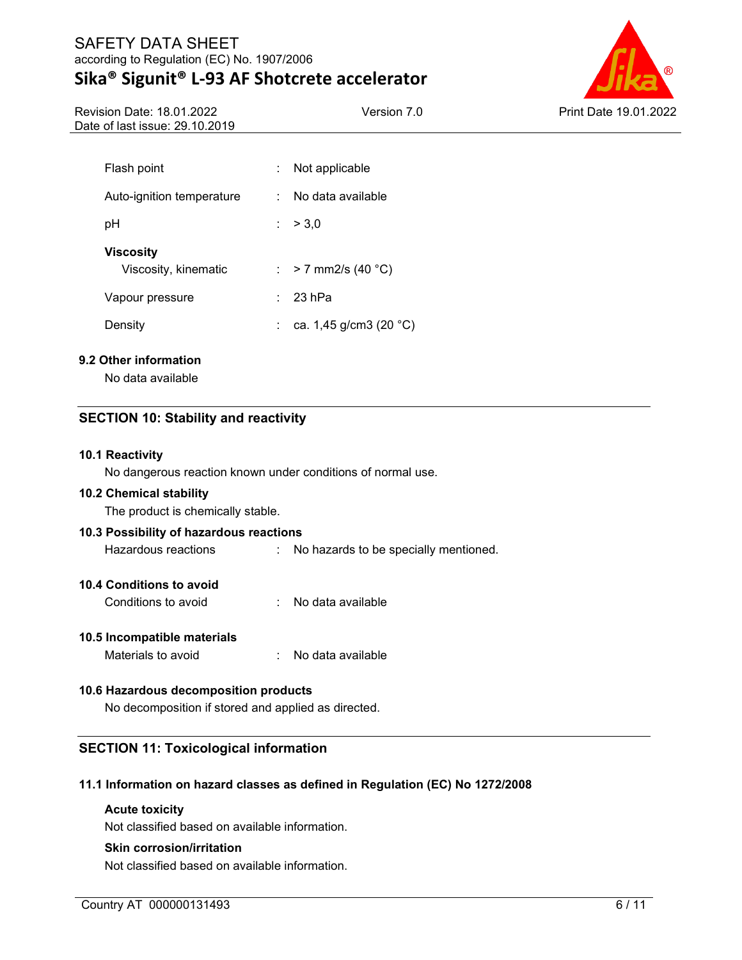### SAFETY DATA SHEET according to Regulation (EC) No. 1907/2006 **Sika® Sigunit® L-93 AF Shotcrete accelerator**



Revision Date: 18.01.2022 Date of last issue: 29.10.2019

| Flash point                              | Not applicable          |  |
|------------------------------------------|-------------------------|--|
| Auto-ignition temperature                | No data available<br>٠. |  |
| рH                                       | : > 3.0                 |  |
| <b>Viscosity</b><br>Viscosity, kinematic | : > 7 mm2/s (40 °C)     |  |
| Vapour pressure                          | 23 hPa                  |  |
| Density                                  | ca. 1,45 g/cm3 (20 °C)  |  |

### **9.2 Other information**

No data available

### **SECTION 10: Stability and reactivity**

### **10.1 Reactivity**

No dangerous reaction known under conditions of normal use.

### **10.2 Chemical stability**

The product is chemically stable.

### **10.3 Possibility of hazardous reactions**

Hazardous reactions : No hazards to be specially mentioned.

### **10.4 Conditions to avoid**

Conditions to avoid : No data available

### **10.5 Incompatible materials**

Materials to avoid : No data available

### **10.6 Hazardous decomposition products**

No decomposition if stored and applied as directed.

### **SECTION 11: Toxicological information**

### **11.1 Information on hazard classes as defined in Regulation (EC) No 1272/2008**

#### **Acute toxicity**

Not classified based on available information.

### **Skin corrosion/irritation**

Not classified based on available information.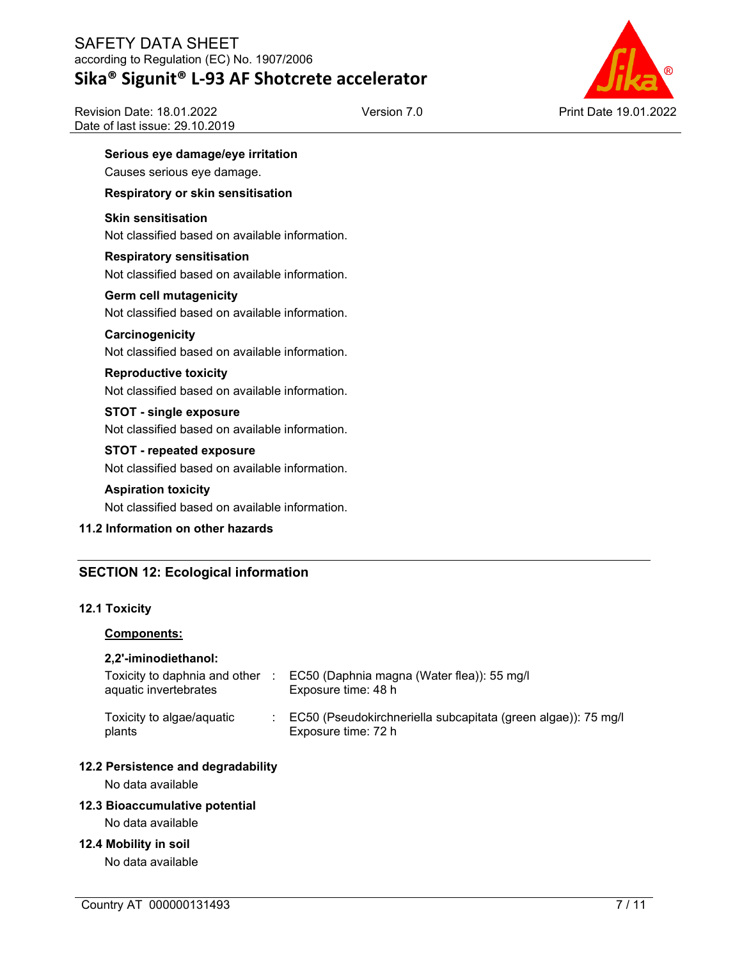### SAFETY DATA SHEET according to Regulation (EC) No. 1907/2006 **Sika® Sigunit® L-93 AF Shotcrete accelerator**

Version 7.0 Print Date 19.01.2022

Revision Date: 18.01.2022 Date of last issue: 29.10.2019

## **Serious eye damage/eye irritation**

Causes serious eye damage.

### **Respiratory or skin sensitisation**

### **Skin sensitisation**

Not classified based on available information.

### **Respiratory sensitisation**

Not classified based on available information.

### **Germ cell mutagenicity**

Not classified based on available information.

### **Carcinogenicity**

Not classified based on available information.

### **Reproductive toxicity**

Not classified based on available information.

### **STOT - single exposure**

Not classified based on available information.

### **STOT - repeated exposure**

Not classified based on available information.

### **Aspiration toxicity**

Not classified based on available information.

### **11.2 Information on other hazards**

### **SECTION 12: Ecological information**

### **12.1 Toxicity**

### **Components:**

### **2,2'-iminodiethanol:**

| Toxicity to daphnia and other<br>aquatic invertebrates | EC50 (Daphnia magna (Water flea)): 55 mg/l<br>Exposure time: 48 h                      |
|--------------------------------------------------------|----------------------------------------------------------------------------------------|
| Toxicity to algae/aquatic<br>plants                    | : EC50 (Pseudokirchneriella subcapitata (green algae)): 75 mg/l<br>Exposure time: 72 h |

### **12.2 Persistence and degradability**

No data available

### **12.3 Bioaccumulative potential**

No data available

### **12.4 Mobility in soil**

No data available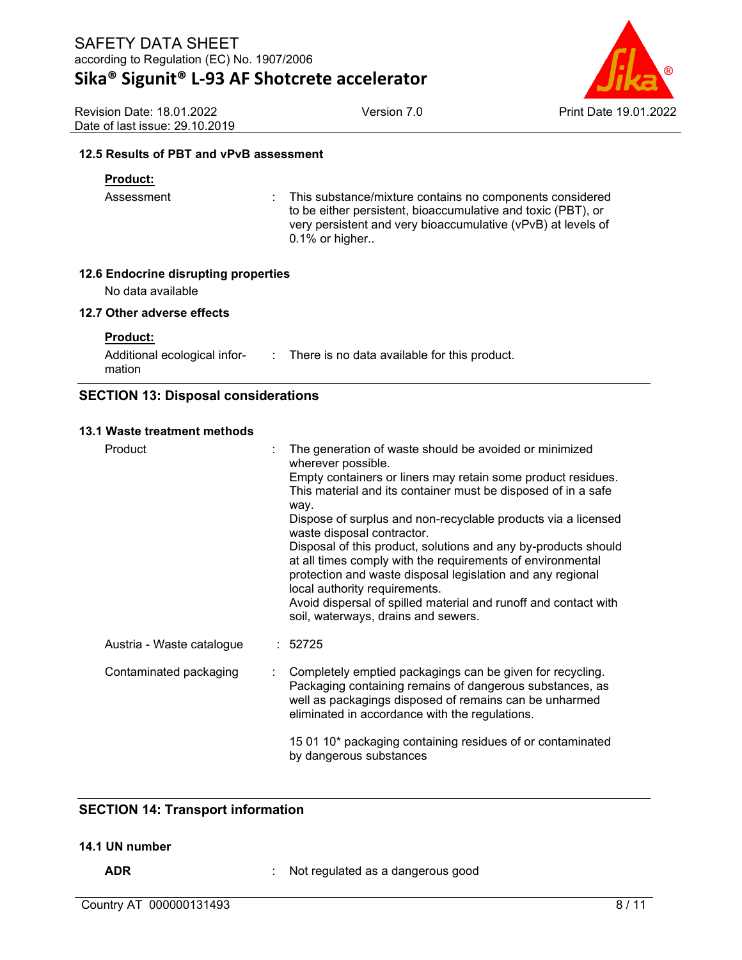Revision Date: 18.01.2022 Date of last issue: 29.10.2019



**12.5 Results of PBT and vPvB assessment**

### **Product:**

Assessment : This substance/mixture contains no components considered to be either persistent, bioaccumulative and toxic (PBT), or very persistent and very bioaccumulative (vPvB) at levels of 0.1% or higher..

### **12.6 Endocrine disrupting properties**

No data available

### **12.7 Other adverse effects**

**Product:**

Additional ecological information : There is no data available for this product.

### **SECTION 13: Disposal considerations**

### **13.1 Waste treatment methods**

| Product                   |  | The generation of waste should be avoided or minimized<br>wherever possible.<br>Empty containers or liners may retain some product residues.<br>This material and its container must be disposed of in a safe<br>way.<br>Dispose of surplus and non-recyclable products via a licensed<br>waste disposal contractor.<br>Disposal of this product, solutions and any by-products should<br>at all times comply with the requirements of environmental<br>protection and waste disposal legislation and any regional<br>local authority requirements.<br>Avoid dispersal of spilled material and runoff and contact with<br>soil, waterways, drains and sewers. |
|---------------------------|--|---------------------------------------------------------------------------------------------------------------------------------------------------------------------------------------------------------------------------------------------------------------------------------------------------------------------------------------------------------------------------------------------------------------------------------------------------------------------------------------------------------------------------------------------------------------------------------------------------------------------------------------------------------------|
| Austria - Waste catalogue |  | : 52725                                                                                                                                                                                                                                                                                                                                                                                                                                                                                                                                                                                                                                                       |
| Contaminated packaging    |  | Completely emptied packagings can be given for recycling.<br>Packaging containing remains of dangerous substances, as<br>well as packagings disposed of remains can be unharmed<br>eliminated in accordance with the regulations.                                                                                                                                                                                                                                                                                                                                                                                                                             |
|                           |  | 15 01 10* packaging containing residues of or contaminated<br>by dangerous substances                                                                                                                                                                                                                                                                                                                                                                                                                                                                                                                                                                         |

### **SECTION 14: Transport information**

### **14.1 UN number**

**ADR** : Not regulated as a dangerous good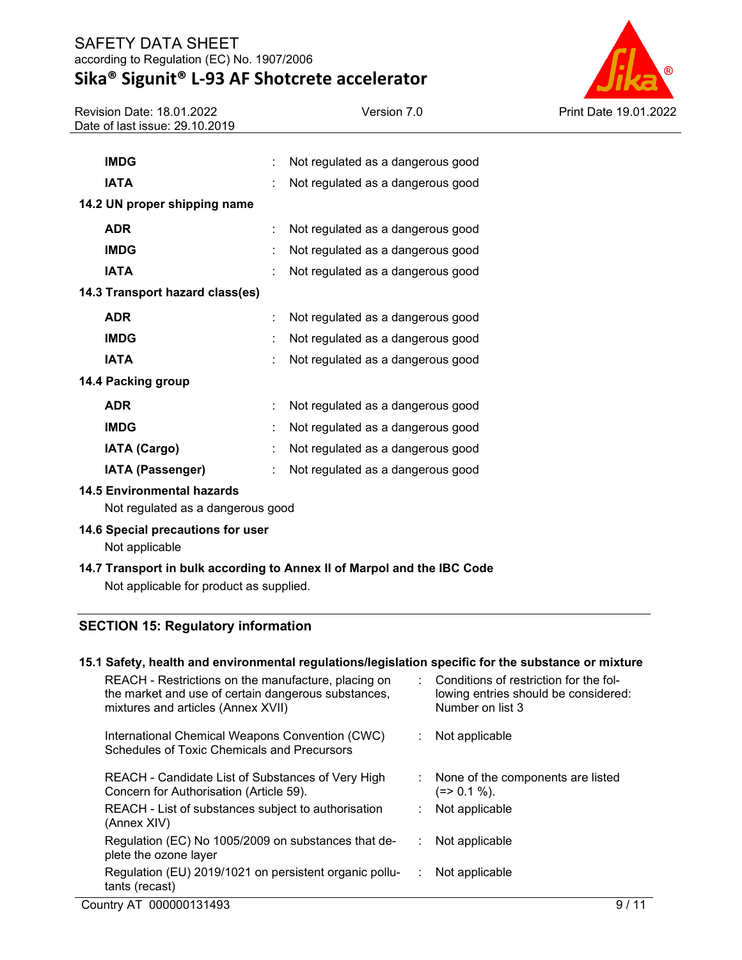## **Sika® Sigunit® L-93 AF Shotcrete accelerator**

Revision Date: 18.01.2022 Date of last issue: 29.10.2019



| <b>IMDG</b>                     |    | Not regulated as a dangerous good |  |
|---------------------------------|----|-----------------------------------|--|
| <b>IATA</b>                     |    | Not regulated as a dangerous good |  |
| 14.2 UN proper shipping name    |    |                                   |  |
| <b>ADR</b>                      | t. | Not regulated as a dangerous good |  |
| <b>IMDG</b>                     | t  | Not regulated as a dangerous good |  |
| <b>IATA</b>                     |    | Not regulated as a dangerous good |  |
| 14.3 Transport hazard class(es) |    |                                   |  |
| <b>ADR</b>                      |    | Not regulated as a dangerous good |  |
| <b>IMDG</b>                     | ÷  | Not regulated as a dangerous good |  |
| <b>IATA</b>                     | ÷  | Not regulated as a dangerous good |  |
| 14.4 Packing group              |    |                                   |  |
| <b>ADR</b>                      | ÷  | Not regulated as a dangerous good |  |
| <b>IMDG</b>                     | t  | Not regulated as a dangerous good |  |
| <b>IATA (Cargo)</b>             | ÷  | Not regulated as a dangerous good |  |
| <b>IATA (Passenger)</b>         |    | Not regulated as a dangerous good |  |

### **14.5 Environmental hazards**

Not regulated as a dangerous good

### **14.6 Special precautions for user**

Not applicable

### **14.7 Transport in bulk according to Annex II of Marpol and the IBC Code** Not applicable for product as supplied.

### **SECTION 15: Regulatory information**

#### Country AT 000000131493 9/11 **15.1 Safety, health and environmental regulations/legislation specific for the substance or mixture** REACH - Restrictions on the manufacture, placing on the market and use of certain dangerous substances, mixtures and articles (Annex XVII) : Conditions of restriction for the following entries should be considered: Number on list 3 International Chemical Weapons Convention (CWC) Schedules of Toxic Chemicals and Precursors : Not applicable REACH - Candidate List of Substances of Very High Concern for Authorisation (Article 59). : None of the components are listed  $(=> 0.1 %).$ REACH - List of substances subject to authorisation (Annex XIV) : Not applicable Regulation (EC) No 1005/2009 on substances that deplete the ozone layer : Not applicable Regulation (EU) 2019/1021 on persistent organic pollutants (recast) : Not applicable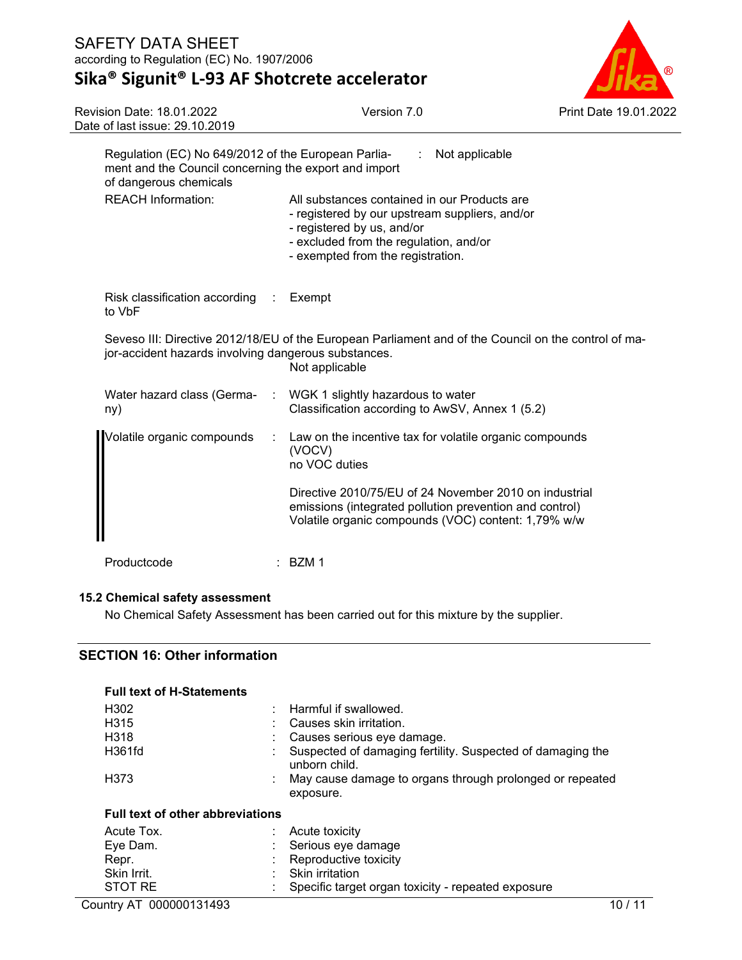# **Sika® Sigunit® L-93 AF Shotcrete accelerator**



| <b>Revision Date: 18.01.2022</b><br>Date of last issue: 29.10.2019                                                                     |                             | Version 7.0                                                                                                                                                                                                 | Print Date 19.01.2022 |
|----------------------------------------------------------------------------------------------------------------------------------------|-----------------------------|-------------------------------------------------------------------------------------------------------------------------------------------------------------------------------------------------------------|-----------------------|
| Regulation (EC) No 649/2012 of the European Parlia-<br>ment and the Council concerning the export and import<br>of dangerous chemicals |                             | Not applicable<br>÷.                                                                                                                                                                                        |                       |
| <b>REACH Information:</b>                                                                                                              |                             | All substances contained in our Products are<br>- registered by our upstream suppliers, and/or<br>- registered by us, and/or<br>- excluded from the regulation, and/or<br>- exempted from the registration. |                       |
| Risk classification according<br>to VbF                                                                                                | $\mathcal{L}$               | Exempt                                                                                                                                                                                                      |                       |
| jor-accident hazards involving dangerous substances.                                                                                   |                             | Seveso III: Directive 2012/18/EU of the European Parliament and of the Council on the control of ma-<br>Not applicable                                                                                      |                       |
| Water hazard class (Germa-<br>ny)                                                                                                      | $\mathcal{L}^{\mathcal{L}}$ | WGK 1 slightly hazardous to water<br>Classification according to AwSV, Annex 1 (5.2)                                                                                                                        |                       |
| Volatile organic compounds                                                                                                             |                             | Law on the incentive tax for volatile organic compounds<br>(VOCV)<br>no VOC duties                                                                                                                          |                       |
|                                                                                                                                        |                             | Directive 2010/75/EU of 24 November 2010 on industrial<br>emissions (integrated pollution prevention and control)<br>Volatile organic compounds (VOC) content: 1,79% w/w                                    |                       |
| Productcode                                                                                                                            | BZM <sub>1</sub>            |                                                                                                                                                                                                             |                       |

### **15.2 Chemical safety assessment**

No Chemical Safety Assessment has been carried out for this mixture by the supplier.

### **SECTION 16: Other information**

| <b>Full text of H-Statements</b>        |                                                                             |
|-----------------------------------------|-----------------------------------------------------------------------------|
| H <sub>302</sub>                        | Harmful if swallowed.                                                       |
| H <sub>315</sub>                        | Causes skin irritation.                                                     |
| H318                                    | Causes serious eye damage.                                                  |
| H361fd                                  | Suspected of damaging fertility. Suspected of damaging the<br>unborn child. |
| H373                                    | May cause damage to organs through prolonged or repeated<br>exposure.       |
| <b>Full text of other abbreviations</b> |                                                                             |
| Acute Tox.                              | Acute toxicity                                                              |
| Eve Dam.                                | Serious eye damage                                                          |
| Repr.                                   | Reproductive toxicity                                                       |
| Skin Irrit.                             | Skin irritation                                                             |
| STOT RE                                 | Specific target organ toxicity - repeated exposure                          |